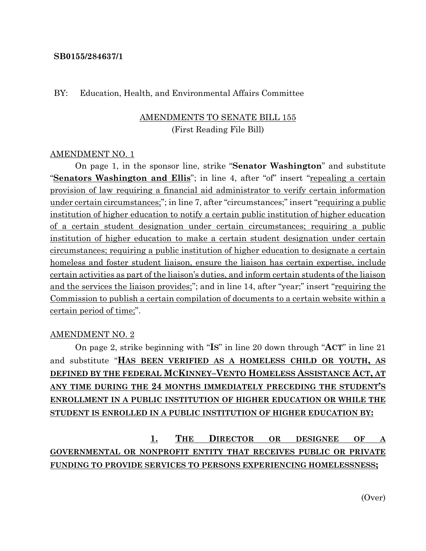## **SB0155/284637/1**

## BY: Education, Health, and Environmental Affairs Committee

## AMENDMENTS TO SENATE BILL 155 (First Reading File Bill)

### AMENDMENT NO. 1

On page 1, in the sponsor line, strike "**Senator Washington**" and substitute "**Senators Washington and Ellis**"; in line 4, after "of" insert "repealing a certain provision of law requiring a financial aid administrator to verify certain information under certain circumstances;"; in line 7, after "circumstances;" insert "requiring a public institution of higher education to notify a certain public institution of higher education of a certain student designation under certain circumstances; requiring a public institution of higher education to make a certain student designation under certain circumstances; requiring a public institution of higher education to designate a certain homeless and foster student liaison, ensure the liaison has certain expertise, include certain activities as part of the liaison's duties, and inform certain students of the liaison and the services the liaison provides;"; and in line 14, after "year;" insert "requiring the Commission to publish a certain compilation of documents to a certain website within a certain period of time;".

#### AMENDMENT NO. 2

On page 2, strike beginning with "**IS**" in line 20 down through "**ACT**" in line 21 and substitute "**HAS BEEN VERIFIED AS A HOMELESS CHILD OR YOUTH, AS DEFINED BY THE FEDERAL MCKINNEY–VENTO HOMELESS ASSISTANCE ACT, AT ANY TIME DURING THE 24 MONTHS IMMEDIATELY PRECEDING THE STUDENT'S ENROLLMENT IN A PUBLIC INSTITUTION OF HIGHER EDUCATION OR WHILE THE STUDENT IS ENROLLED IN A PUBLIC INSTITUTION OF HIGHER EDUCATION BY:**

**1. THE DIRECTOR OR DESIGNEE OF A GOVERNMENTAL OR NONPROFIT ENTITY THAT RECEIVES PUBLIC OR PRIVATE FUNDING TO PROVIDE SERVICES TO PERSONS EXPERIENCING HOMELESSNESS;**

(Over)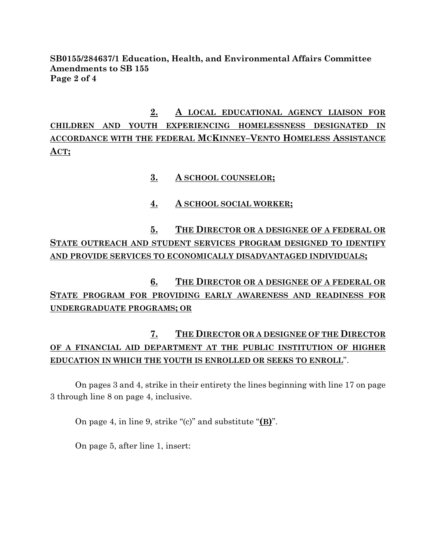# **SB0155/284637/1 Education, Health, and Environmental Affairs Committee Amendments to SB 155 Page 2 of 4**

**2. A LOCAL EDUCATIONAL AGENCY LIAISON FOR CHILDREN AND YOUTH EXPERIENCING HOMELESSNESS DESIGNATED IN ACCORDANCE WITH THE FEDERAL MCKINNEY–VENTO HOMELESS ASSISTANCE ACT;**

- **3. A SCHOOL COUNSELOR;**
- **4. A SCHOOL SOCIAL WORKER;**

**5. THE DIRECTOR OR A DESIGNEE OF A FEDERAL OR STATE OUTREACH AND STUDENT SERVICES PROGRAM DESIGNED TO IDENTIFY AND PROVIDE SERVICES TO ECONOMICALLY DISADVANTAGED INDIVIDUALS;**

**6. THE DIRECTOR OR A DESIGNEE OF A FEDERAL OR STATE PROGRAM FOR PROVIDING EARLY AWARENESS AND READINESS FOR UNDERGRADUATE PROGRAMS; OR**

# **7. THE DIRECTOR OR A DESIGNEE OF THE DIRECTOR OF A FINANCIAL AID DEPARTMENT AT THE PUBLIC INSTITUTION OF HIGHER EDUCATION IN WHICH THE YOUTH IS ENROLLED OR SEEKS TO ENROLL**".

On pages 3 and 4, strike in their entirety the lines beginning with line 17 on page 3 through line 8 on page 4, inclusive.

On page 4, in line 9, strike "(c)" and substitute "**(B)**".

On page 5, after line 1, insert: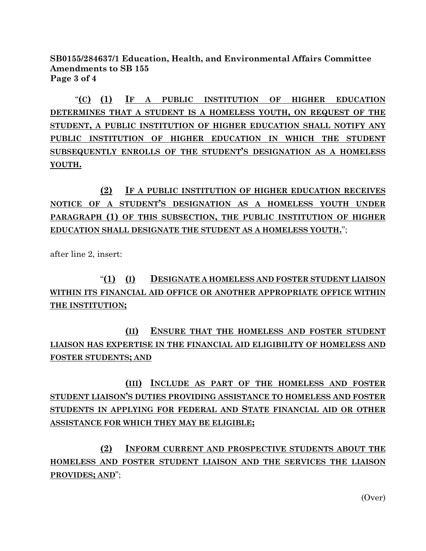**SB0155/284637/1 Education, Health, and Environmental Affairs Committee Amendments to SB 155 Page 3 of 4**

"**(C) (1) IF A PUBLIC INSTITUTION OF HIGHER EDUCATION DETERMINES THAT A STUDENT IS A HOMELESS YOUTH, ON REQUEST OF THE STUDENT, A PUBLIC INSTITUTION OF HIGHER EDUCATION SHALL NOTIFY ANY PUBLIC INSTITUTION OF HIGHER EDUCATION IN WHICH THE STUDENT SUBSEQUENTLY ENROLLS OF THE STUDENT'S DESIGNATION AS A HOMELESS YOUTH.**

**(2) IF A PUBLIC INSTITUTION OF HIGHER EDUCATION RECEIVES NOTICE OF A STUDENT'S DESIGNATION AS A HOMELESS YOUTH UNDER PARAGRAPH (1) OF THIS SUBSECTION, THE PUBLIC INSTITUTION OF HIGHER EDUCATION SHALL DESIGNATE THE STUDENT AS A HOMELESS YOUTH.**";

after line 2, insert:

# "**(1) (I) DESIGNATE A HOMELESS AND FOSTER STUDENT LIAISON WITHIN ITS FINANCIAL AID OFFICE OR ANOTHER APPROPRIATE OFFICE WITHIN THE INSTITUTION;**

**(II) ENSURE THAT THE HOMELESS AND FOSTER STUDENT LIAISON HAS EXPERTISE IN THE FINANCIAL AID ELIGIBILITY OF HOMELESS AND FOSTER STUDENTS; AND**

**(III) INCLUDE AS PART OF THE HOMELESS AND FOSTER STUDENT LIAISON'S DUTIES PROVIDING ASSISTANCE TO HOMELESS AND FOSTER STUDENTS IN APPLYING FOR FEDERAL AND STATE FINANCIAL AID OR OTHER ASSISTANCE FOR WHICH THEY MAY BE ELIGIBLE;**

**(2) INFORM CURRENT AND PROSPECTIVE STUDENTS ABOUT THE HOMELESS AND FOSTER STUDENT LIAISON AND THE SERVICES THE LIAISON PROVIDES; AND**";

(Over)